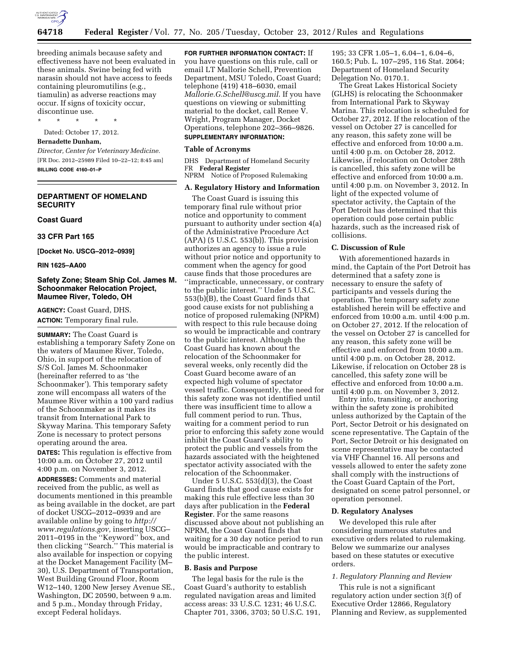

breeding animals because safety and effectiveness have not been evaluated in these animals. Swine being fed with narasin should not have access to feeds containing pleuromutilins (e.g., tiamulin) as adverse reactions may occur. If signs of toxicity occur, discontinue use.

\* \* \* \* \*

Dated: October 17, 2012.

### **Bernadette Dunham,**

*Director, Center for Veterinary Medicine.*  [FR Doc. 2012–25989 Filed 10–22–12; 8:45 am] **BILLING CODE 4160–01–P** 

### **DEPARTMENT OF HOMELAND SECURITY**

### **Coast Guard**

**33 CFR Part 165** 

**[Docket No. USCG–2012–0939]** 

**RIN 1625–AA00** 

### **Safety Zone; Steam Ship Col. James M. Schoonmaker Relocation Project, Maumee River, Toledo, OH**

**AGENCY:** Coast Guard, DHS. **ACTION:** Temporary final rule.

**SUMMARY:** The Coast Guard is establishing a temporary Safety Zone on the waters of Maumee River, Toledo, Ohio, in support of the relocation of S/S Col. James M. Schoonmaker (hereinafter referred to as 'the Schoonmaker'). This temporary safety zone will encompass all waters of the Maumee River within a 100 yard radius of the Schoonmaker as it makes its transit from International Park to Skyway Marina. This temporary Safety Zone is necessary to protect persons operating around the area.

**DATES:** This regulation is effective from 10:00 a.m. on October 27, 2012 until 4:00 p.m. on November 3, 2012.

**ADDRESSES:** Comments and material received from the public, as well as documents mentioned in this preamble as being available in the docket, are part of docket USCG–2012–0939 and are available online by going to *[http://](http://www.regulations.gov)  [www.regulations.gov,](http://www.regulations.gov)* inserting USCG– 2011–0195 in the ''Keyword'' box, and then clicking ''Search.'' This material is also available for inspection or copying at the Docket Management Facility (M– 30), U.S. Department of Transportation, West Building Ground Floor, Room W12–140, 1200 New Jersey Avenue SE., Washington, DC 20590, between 9 a.m. and 5 p.m., Monday through Friday, except Federal holidays.

**FOR FURTHER INFORMATION CONTACT:** If you have questions on this rule, call or email LT Mallorie Schell, Prevention Department, MSU Toledo, Coast Guard; telephone (419) 418–6030, email *[Mallorie.G.Schell@uscg.mil](mailto:Mallorie.G.Schell@uscg.mil)*. If you have questions on viewing or submitting material to the docket, call Renee V. Wright, Program Manager, Docket Operations, telephone 202–366–9826. **SUPPLEMENTARY INFORMATION:** 

## **Table of Acronyms**

DHS Department of Homeland Security FR **Federal Register**  NPRM Notice of Proposed Rulemaking

# **A. Regulatory History and Information**

The Coast Guard is issuing this temporary final rule without prior notice and opportunity to comment pursuant to authority under section 4(a) of the Administrative Procedure Act (APA) (5 U.S.C. 553(b)). This provision authorizes an agency to issue a rule without prior notice and opportunity to comment when the agency for good cause finds that those procedures are ''impracticable, unnecessary, or contrary to the public interest.'' Under 5 U.S.C. 553(b)(B), the Coast Guard finds that good cause exists for not publishing a notice of proposed rulemaking (NPRM) with respect to this rule because doing so would be impracticable and contrary to the public interest. Although the Coast Guard has known about the relocation of the Schoonmaker for several weeks, only recently did the Coast Guard become aware of an expected high volume of spectator vessel traffic. Consequently, the need for this safety zone was not identified until there was insufficient time to allow a full comment period to run. Thus, waiting for a comment period to run prior to enforcing this safety zone would inhibit the Coast Guard's ability to protect the public and vessels from the hazards associated with the heightened spectator activity associated with the relocation of the Schoonmaker.

Under 5 U.S.C. 553(d)(3), the Coast Guard finds that good cause exists for making this rule effective less than 30 days after publication in the **Federal Register**. For the same reasons discussed above about not publishing an NPRM, the Coast Guard finds that waiting for a 30 day notice period to run would be impracticable and contrary to the public interest.

#### **B. Basis and Purpose**

The legal basis for the rule is the Coast Guard's authority to establish regulated navigation areas and limited access areas: 33 U.S.C. 1231; 46 U.S.C. Chapter 701, 3306, 3703; 50 U.S.C. 191,

195; 33 CFR 1.05–1, 6.04–1, 6.04–6, 160.5; Pub. L. 107–295, 116 Stat. 2064; Department of Homeland Security Delegation No. 0170.1.

The Great Lakes Historical Society (GLHS) is relocating the Schoonmaker from International Park to Skyway Marina. This relocation is scheduled for October 27, 2012. If the relocation of the vessel on October 27 is cancelled for any reason, this safety zone will be effective and enforced from 10:00 a.m. until 4:00 p.m. on October 28, 2012. Likewise, if relocation on October 28th is cancelled, this safety zone will be effective and enforced from 10:00 a.m. until 4:00 p.m. on November 3, 2012. In light of the expected volume of spectator activity, the Captain of the Port Detroit has determined that this operation could pose certain public hazards, such as the increased risk of collisions.

#### **C. Discussion of Rule**

With aforementioned hazards in mind, the Captain of the Port Detroit has determined that a safety zone is necessary to ensure the safety of participants and vessels during the operation. The temporary safety zone established herein will be effective and enforced from 10:00 a.m. until 4:00 p.m. on October 27, 2012. If the relocation of the vessel on October 27 is cancelled for any reason, this safety zone will be effective and enforced from 10:00 a.m. until 4:00 p.m. on October 28, 2012. Likewise, if relocation on October 28 is cancelled, this safety zone will be effective and enforced from 10:00 a.m. until 4:00 p.m. on November 3, 2012.

Entry into, transiting, or anchoring within the safety zone is prohibited unless authorized by the Captain of the Port, Sector Detroit or his designated on scene representative. The Captain of the Port, Sector Detroit or his designated on scene representative may be contacted via VHF Channel 16. All persons and vessels allowed to enter the safety zone shall comply with the instructions of the Coast Guard Captain of the Port, designated on scene patrol personnel, or operation personnel.

#### **D. Regulatory Analyses**

We developed this rule after considering numerous statutes and executive orders related to rulemaking. Below we summarize our analyses based on these statutes or executive orders.

### *1. Regulatory Planning and Review*

This rule is not a significant regulatory action under section 3(f) of Executive Order 12866, Regulatory Planning and Review, as supplemented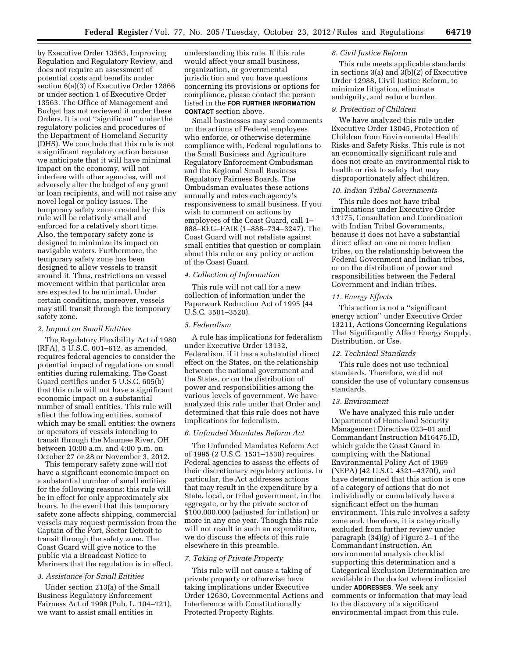by Executive Order 13563, Improving Regulation and Regulatory Review, and does not require an assessment of potential costs and benefits under section 6(a)(3) of Executive Order 12866 or under section 1 of Executive Order 13563. The Office of Management and Budget has not reviewed it under these Orders. It is not ''significant'' under the regulatory policies and procedures of the Department of Homeland Security (DHS). We conclude that this rule is not a significant regulatory action because we anticipate that it will have minimal impact on the economy, will not interfere with other agencies, will not adversely alter the budget of any grant or loan recipients, and will not raise any novel legal or policy issues. The temporary safety zone created by this rule will be relatively small and enforced for a relatively short time. Also, the temporary safety zone is designed to minimize its impact on navigable waters. Furthermore, the temporary safety zone has been designed to allow vessels to transit around it. Thus, restrictions on vessel movement within that particular area are expected to be minimal. Under certain conditions, moreover, vessels may still transit through the temporary safety zone.

#### *2. Impact on Small Entities*

The Regulatory Flexibility Act of 1980 (RFA), 5 U.S.C. 601–612, as amended, requires federal agencies to consider the potential impact of regulations on small entities during rulemaking. The Coast Guard certifies under 5 U.S.C. 605(b) that this rule will not have a significant economic impact on a substantial number of small entities. This rule will affect the following entities, some of which may be small entities: the owners or operators of vessels intending to transit through the Maumee River, OH between 10:00 a.m. and 4:00 p.m. on October 27 or 28 or November 3, 2012.

This temporary safety zone will not have a significant economic impact on a substantial number of small entities for the following reasons: this rule will be in effect for only approximately six hours. In the event that this temporary safety zone affects shipping, commercial vessels may request permission from the Captain of the Port, Sector Detroit to transit through the safety zone. The Coast Guard will give notice to the public via a Broadcast Notice to Mariners that the regulation is in effect.

#### *3. Assistance for Small Entities*

Under section 213(a) of the Small Business Regulatory Enforcement Fairness Act of 1996 (Pub. L. 104–121), we want to assist small entities in

understanding this rule. If this rule would affect your small business, organization, or governmental jurisdiction and you have questions concerning its provisions or options for compliance, please contact the person listed in the **FOR FURTHER INFORMATION CONTACT** section above.

Small businesses may send comments on the actions of Federal employees who enforce, or otherwise determine compliance with, Federal regulations to the Small Business and Agriculture Regulatory Enforcement Ombudsman and the Regional Small Business Regulatory Fairness Boards. The Ombudsman evaluates these actions annually and rates each agency's responsiveness to small business. If you wish to comment on actions by employees of the Coast Guard, call 1– 888–REG–FAIR (1–888–734–3247). The Coast Guard will not retaliate against small entities that question or complain about this rule or any policy or action of the Coast Guard.

### *4. Collection of Information*

This rule will not call for a new collection of information under the Paperwork Reduction Act of 1995 (44 U.S.C. 3501–3520).

### *5. Federalism*

A rule has implications for federalism under Executive Order 13132, Federalism, if it has a substantial direct effect on the States, on the relationship between the national government and the States, or on the distribution of power and responsibilities among the various levels of government. We have analyzed this rule under that Order and determined that this rule does not have implications for federalism.

### *6. Unfunded Mandates Reform Act*

The Unfunded Mandates Reform Act of 1995 (2 U.S.C. 1531–1538) requires Federal agencies to assess the effects of their discretionary regulatory actions. In particular, the Act addresses actions that may result in the expenditure by a State, local, or tribal government, in the aggregate, or by the private sector of \$100,000,000 (adjusted for inflation) or more in any one year. Though this rule will not result in such an expenditure, we do discuss the effects of this rule elsewhere in this preamble.

#### *7. Taking of Private Property*

This rule will not cause a taking of private property or otherwise have taking implications under Executive Order 12630, Governmental Actions and Interference with Constitutionally Protected Property Rights.

#### *8. Civil Justice Reform*

This rule meets applicable standards in sections  $3(a)$  and  $3(b)(2)$  of Executive Order 12988, Civil Justice Reform, to minimize litigation, eliminate ambiguity, and reduce burden.

#### *9. Protection of Children*

We have analyzed this rule under Executive Order 13045, Protection of Children from Environmental Health Risks and Safety Risks. This rule is not an economically significant rule and does not create an environmental risk to health or risk to safety that may disproportionately affect children.

### *10. Indian Tribal Governments*

This rule does not have tribal implications under Executive Order 13175, Consultation and Coordination with Indian Tribal Governments, because it does not have a substantial direct effect on one or more Indian tribes, on the relationship between the Federal Government and Indian tribes, or on the distribution of power and responsibilities between the Federal Government and Indian tribes.

### *11. Energy Effects*

This action is not a ''significant energy action'' under Executive Order 13211, Actions Concerning Regulations That Significantly Affect Energy Supply, Distribution, or Use.

### *12. Technical Standards*

This rule does not use technical standards. Therefore, we did not consider the use of voluntary consensus standards.

#### *13. Environment*

We have analyzed this rule under Department of Homeland Security Management Directive 023–01 and Commandant Instruction M16475.lD, which guide the Coast Guard in complying with the National Environmental Policy Act of 1969 (NEPA) (42 U.S.C. 4321–4370f), and have determined that this action is one of a category of actions that do not individually or cumulatively have a significant effect on the human environment. This rule involves a safety zone and, therefore, it is categorically excluded from further review under paragraph (34)(g) of Figure 2–1 of the Commandant Instruction. An environmental analysis checklist supporting this determination and a Categorical Exclusion Determination are available in the docket where indicated under **ADDRESSES**. We seek any comments or information that may lead to the discovery of a significant environmental impact from this rule.